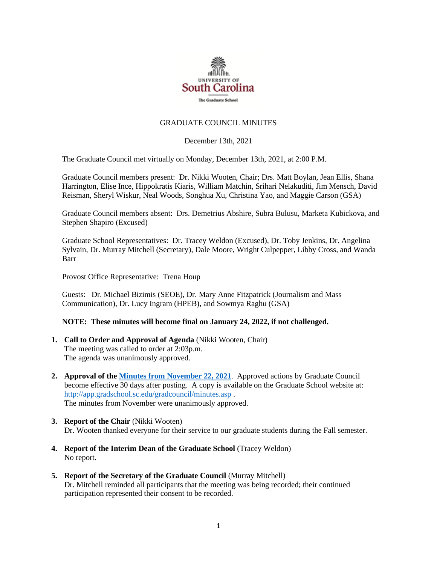

## GRADUATE COUNCIL MINUTES

December 13th, 2021

The Graduate Council met virtually on Monday, December 13th, 2021, at 2:00 P.M.

Graduate Council members present: Dr. Nikki Wooten, Chair; Drs. Matt Boylan, Jean Ellis, Shana Harrington, Elise Ince, Hippokratis Kiaris, William Matchin, Srihari Nelakuditi, Jim Mensch, David Reisman, Sheryl Wiskur, Neal Woods, Songhua Xu, Christina Yao, and Maggie Carson (GSA)

Graduate Council members absent: Drs. Demetrius Abshire, Subra Bulusu, Marketa Kubickova, and Stephen Shapiro (Excused)

Graduate School Representatives: Dr. Tracey Weldon (Excused), Dr. Toby Jenkins, Dr. Angelina Sylvain, Dr. Murray Mitchell (Secretary), Dale Moore, Wright Culpepper, Libby Cross, and Wanda Barr

Provost Office Representative: Trena Houp

Guests: Dr. Michael Bizimis (SEOE), Dr. Mary Anne Fitzpatrick (Journalism and Mass Communication), Dr. Lucy Ingram (HPEB), and Sowmya Raghu (GSA)

### **NOTE: These minutes will become final on January 24, 2022, if not challenged.**

- **1. Call to Order and Approval of Agenda** (Nikki Wooten, Chair) The meeting was called to order at 2:03p.m. The agenda was unanimously approved.
- **2. Approval of th[e Minutes from November](file://///COSSLAOthello.ds.sc.edu/MIRROR/GRAD/WANDAB/Profile/Documents/Agendas%20and%20Minutes/GCMINUTES11.22.21%20MM.pdf) 22, 2021**. Approved actions by Graduate Council become effective 30 days after posting. A copy is available on the Graduate School website at: <http://app.gradschool.sc.edu/gradcouncil/minutes.asp> . The minutes from November were unanimously approved.
- **3. Report of the Chair** (Nikki Wooten) Dr. Wooten thanked everyone for their service to our graduate students during the Fall semester.
- **4. Report of the Interim Dean of the Graduate School** (Tracey Weldon) No report.
- **5. Report of the Secretary of the Graduate Council** (Murray Mitchell) Dr. Mitchell reminded all participants that the meeting was being recorded; their continued participation represented their consent to be recorded.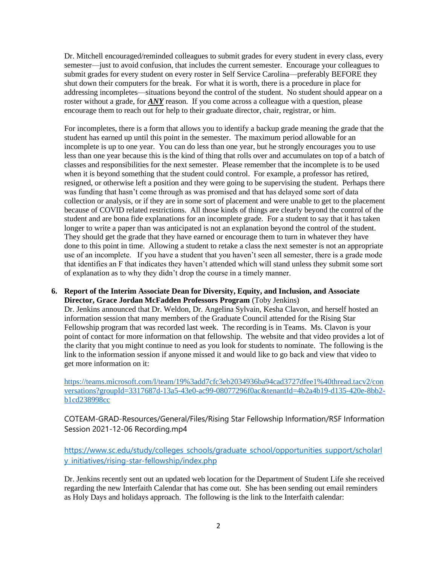Dr. Mitchell encouraged/reminded colleagues to submit grades for every student in every class, every semester—just to avoid confusion, that includes the current semester. Encourage your colleagues to submit grades for every student on every roster in Self Service Carolina—preferably BEFORE they shut down their computers for the break. For what it is worth, there is a procedure in place for addressing incompletes—situations beyond the control of the student. No student should appear on a roster without a grade, for *ANY* reason. If you come across a colleague with a question, please encourage them to reach out for help to their graduate director, chair, registrar, or him.

For incompletes, there is a form that allows you to identify a backup grade meaning the grade that the student has earned up until this point in the semester. The maximum period allowable for an incomplete is up to one year. You can do less than one year, but he strongly encourages you to use less than one year because this is the kind of thing that rolls over and accumulates on top of a batch of classes and responsibilities for the next semester. Please remember that the incomplete is to be used when it is beyond something that the student could control. For example, a professor has retired, resigned, or otherwise left a position and they were going to be supervising the student. Perhaps there was funding that hasn't come through as was promised and that has delayed some sort of data collection or analysis, or if they are in some sort of placement and were unable to get to the placement because of COVID related restrictions. All those kinds of things are clearly beyond the control of the student and are bona fide explanations for an incomplete grade. For a student to say that it has taken longer to write a paper than was anticipated is not an explanation beyond the control of the student. They should get the grade that they have earned or encourage them to turn in whatever they have done to this point in time. Allowing a student to retake a class the next semester is not an appropriate use of an incomplete. If you have a student that you haven't seen all semester, there is a grade mode that identifies an F that indicates they haven't attended which will stand unless they submit some sort of explanation as to why they didn't drop the course in a timely manner.

**6. Report of the Interim Associate Dean for Diversity, Equity, and Inclusion, and Associate Director, Grace Jordan McFadden Professors Program** (Toby Jenkins)

Dr. Jenkins announced that Dr. Weldon, Dr. Angelina Sylvain, Kesha Clavon, and herself hosted an information session that many members of the Graduate Council attended for the Rising Star Fellowship program that was recorded last week. The recording is in Teams. Ms. Clavon is your point of contact for more information on that fellowship. The website and that video provides a lot of the clarity that you might continue to need as you look for students to nominate. The following is the link to the information session if anyone missed it and would like to go back and view that video to get more information on it:

[https://teams.microsoft.com/l/team/19%3add7cfc3eb2034936ba94cad3727dfee1%40thread.tacv2/con](https://teams.microsoft.com/l/team/19%3add7cfc3eb2034936ba94cad3727dfee1%40thread.tacv2/conversations?groupId=3317687d-13a5-43e0-ac99-08077296f0ac&tenantId=4b2a4b19-d135-420e-8bb2-b1cd238998cc) [versations?groupId=3317687d-13a5-43e0-ac99-08077296f0ac&tenantId=4b2a4b19-d135-420e-8bb2](https://teams.microsoft.com/l/team/19%3add7cfc3eb2034936ba94cad3727dfee1%40thread.tacv2/conversations?groupId=3317687d-13a5-43e0-ac99-08077296f0ac&tenantId=4b2a4b19-d135-420e-8bb2-b1cd238998cc) [b1cd238998cc](https://teams.microsoft.com/l/team/19%3add7cfc3eb2034936ba94cad3727dfee1%40thread.tacv2/conversations?groupId=3317687d-13a5-43e0-ac99-08077296f0ac&tenantId=4b2a4b19-d135-420e-8bb2-b1cd238998cc)

COTEAM-GRAD-Resources/General/Files/Rising Star Fellowship Information/RSF Information Session 2021-12-06 Recording.mp4

[https://www.sc.edu/study/colleges\\_schools/graduate\\_school/opportunities\\_support/scholarl](https://www.sc.edu/study/colleges_schools/graduate_school/opportunities_support/scholarly_initiatives/rising-star-fellowship/index.php) [y\\_initiatives/rising-star-fellowship/index.php](https://www.sc.edu/study/colleges_schools/graduate_school/opportunities_support/scholarly_initiatives/rising-star-fellowship/index.php)

Dr. Jenkins recently sent out an updated web location for the Department of Student Life she received regarding the new Interfaith Calendar that has come out. She has been sending out email reminders as Holy Days and holidays approach. The following is the link to the Interfaith calendar: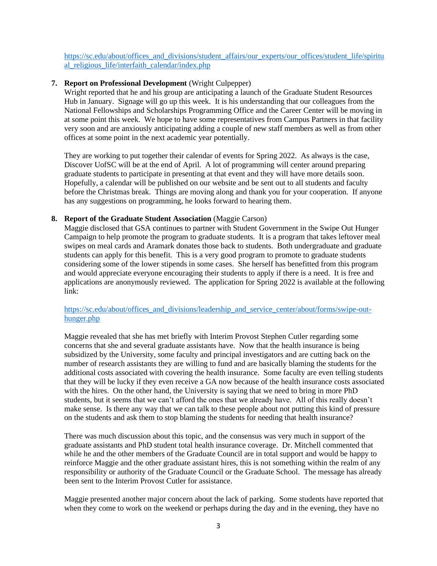[https://sc.edu/about/offices\\_and\\_divisions/student\\_affairs/our\\_experts/our\\_offices/student\\_life/spiritu](https://sc.edu/about/offices_and_divisions/student_affairs/our_experts/our_offices/student_life/spiritual_religious_life/interfaith_calendar/index.php) al religious life/interfaith calendar/index.php

## **7. Report on Professional Development** (Wright Culpepper)

Wright reported that he and his group are anticipating a launch of the Graduate Student Resources Hub in January. Signage will go up this week. It is his understanding that our colleagues from the National Fellowships and Scholarships Programming Office and the Career Center will be moving in at some point this week. We hope to have some representatives from Campus Partners in that facility very soon and are anxiously anticipating adding a couple of new staff members as well as from other offices at some point in the next academic year potentially.

They are working to put together their calendar of events for Spring 2022. As always is the case, Discover UofSC will be at the end of April. A lot of programming will center around preparing graduate students to participate in presenting at that event and they will have more details soon. Hopefully, a calendar will be published on our website and be sent out to all students and faculty before the Christmas break. Things are moving along and thank you for your cooperation. If anyone has any suggestions on programming, he looks forward to hearing them.

## **8. Report of the Graduate Student Association** (Maggie Carson)

Maggie disclosed that GSA continues to partner with Student Government in the Swipe Out Hunger Campaign to help promote the program to graduate students. It is a program that takes leftover meal swipes on meal cards and Aramark donates those back to students. Both undergraduate and graduate students can apply for this benefit. This is a very good program to promote to graduate students considering some of the lower stipends in some cases. She herself has benefitted from this program and would appreciate everyone encouraging their students to apply if there is a need. It is free and applications are anonymously reviewed. The application for Spring 2022 is available at the following link:

[https://sc.edu/about/offices\\_and\\_divisions/leadership\\_and\\_service\\_center/about/forms/swipe-out](https://sc.edu/about/offices_and_divisions/leadership_and_service_center/about/forms/swipe-out-hunger.php)[hunger.php](https://sc.edu/about/offices_and_divisions/leadership_and_service_center/about/forms/swipe-out-hunger.php)

Maggie revealed that she has met briefly with Interim Provost Stephen Cutler regarding some concerns that she and several graduate assistants have. Now that the health insurance is being subsidized by the University, some faculty and principal investigators and are cutting back on the number of research assistants they are willing to fund and are basically blaming the students for the additional costs associated with covering the health insurance. Some faculty are even telling students that they will be lucky if they even receive a GA now because of the health insurance costs associated with the hires. On the other hand, the University is saying that we need to bring in more PhD students, but it seems that we can't afford the ones that we already have. All of this really doesn't make sense. Is there any way that we can talk to these people about not putting this kind of pressure on the students and ask them to stop blaming the students for needing that health insurance?

There was much discussion about this topic, and the consensus was very much in support of the graduate assistants and PhD student total health insurance coverage. Dr. Mitchell commented that while he and the other members of the Graduate Council are in total support and would be happy to reinforce Maggie and the other graduate assistant hires, this is not something within the realm of any responsibility or authority of the Graduate Council or the Graduate School. The message has already been sent to the Interim Provost Cutler for assistance.

Maggie presented another major concern about the lack of parking. Some students have reported that when they come to work on the weekend or perhaps during the day and in the evening, they have no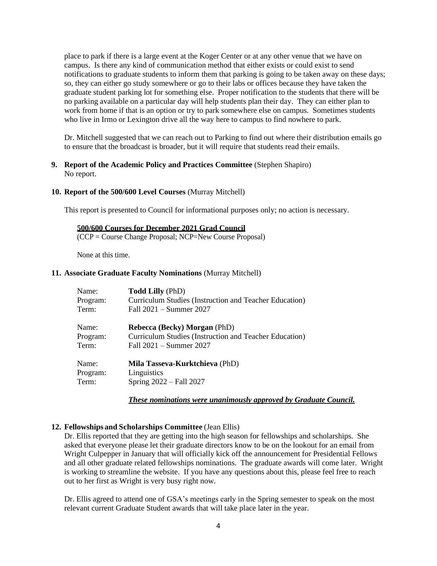place to park if there is a large event at the Koger Center or at any other venue that we have on campus. Is there any kind of communication method that either exists or could exist to send notifications to graduate students to inform them that parking is going to be taken away on these days; so, they can either go study somewhere or go to their labs or offices because they have taken the graduate student parking lot for something else. Proper notification to the students that there will be no parking available on a particular day will help students plan their day. They can either plan to work from home if that is an option or try to park somewhere else on campus. Sometimes students who live in Irmo or Lexington drive all the way here to campus to find nowhere to park.

Dr. Mitchell suggested that we can reach out to Parking to find out where their distribution emails go to ensure that the broadcast is broader, but it will require that students read their emails.

## **9. Report of the Academic Policy and Practices Committee** (Stephen Shapiro) No report.

### **10. Report of the 500/600 Level Courses** (Murray Mitchell)

This report is presented to Council for informational purposes only; no action is necessary.

### **500/600 Courses for December 2021 Grad Council**

(CCP = Course Change Proposal; NCP=New Course Proposal)

None at this time.

#### **11. Associate Graduate Faculty Nominations** (Murray Mitchell)

| Name:    | <b>Todd Lilly (PhD)</b>                                |
|----------|--------------------------------------------------------|
| Program: | Curriculum Studies (Instruction and Teacher Education) |
| Term:    | Fall 2021 - Summer 2027                                |
| Name:    | <b>Rebecca (Becky) Morgan (PhD)</b>                    |
| Program: | Curriculum Studies (Instruction and Teacher Education) |
| Term:    | Fall 2021 - Summer 2027                                |
| Name:    | Mila Tasseva-Kurktchieva (PhD)                         |
| Program: | Linguistics                                            |
| Term:    | Spring 2022 – Fall 2027                                |

*These nominations were unanimously approved by Graduate Council.*

### **12. Fellowships and Scholarships Committee** (Jean Ellis)

Dr. Ellis reported that they are getting into the high season for fellowships and scholarships. She asked that everyone please let their graduate directors know to be on the lookout for an email from Wright Culpepper in January that will officially kick off the announcement for Presidential Fellows and all other graduate related fellowships nominations. The graduate awards will come later. Wright is working to streamline the website. If you have any questions about this, please feel free to reach out to her first as Wright is very busy right now.

Dr. Ellis agreed to attend one of GSA's meetings early in the Spring semester to speak on the most relevant current Graduate Student awards that will take place later in the year.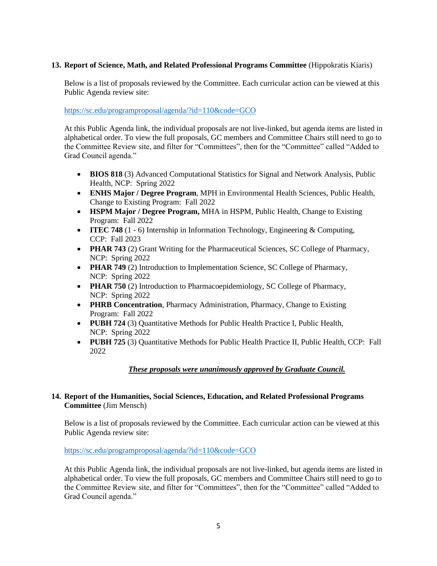## **13. Report of Science, Math, and Related Professional Programs Committee** (Hippokratis Kiaris)

Below is a list of proposals reviewed by the Committee. Each curricular action can be viewed at this Public Agenda review site:

<https://sc.edu/programproposal/agenda/?id=110&code=GCO>

At this Public Agenda link, the individual proposals are not live-linked, but agenda items are listed in alphabetical order. To view the full proposals, GC members and Committee Chairs still need to go to the Committee Review site, and filter for "Committees", then for the "Committee" called "Added to Grad Council agenda."

- **BIOS 818** (3) Advanced Computational Statistics for Signal and Network Analysis, Public Health, NCP: Spring 2022
- **ENHS Major / Degree Program**, MPH in Environmental Health Sciences, Public Health, Change to Existing Program: Fall 2022
- **HSPM Major / Degree Program,** MHA in HSPM, Public Health, Change to Existing Program: Fall 2022
- **ITEC 748** (1 6) Internship in Information Technology, Engineering & Computing, CCP: Fall 2023
- **PHAR 743** (2) Grant Writing for the Pharmaceutical Sciences, SC College of Pharmacy, NCP: Spring 2022
- **PHAR 749** (2) Introduction to Implementation Science, SC College of Pharmacy, NCP: Spring 2022
- **PHAR 750** (2) Introduction to Pharmacoepidemiology, SC College of Pharmacy, NCP: Spring 2022
- **PHRB Concentration**, Pharmacy Administration, Pharmacy, Change to Existing Program: Fall 2022
- **PUBH 724** (3) Quantitative Methods for Public Health Practice I, Public Health, NCP: Spring 2022
- **PUBH 725** (3) Quantitative Methods for Public Health Practice II, Public Health, CCP: Fall 2022

## *These proposals were unanimously approved by Graduate Council.*

## **14. Report of the Humanities, Social Sciences, Education, and Related Professional Programs Committee** (Jim Mensch)

Below is a list of proposals reviewed by the Committee. Each curricular action can be viewed at this Public Agenda review site:

### <https://sc.edu/programproposal/agenda/?id=110&code=GCO>

At this Public Agenda link, the individual proposals are not live-linked, but agenda items are listed in alphabetical order. To view the full proposals, GC members and Committee Chairs still need to go to the Committee Review site, and filter for "Committees", then for the "Committee" called "Added to Grad Council agenda."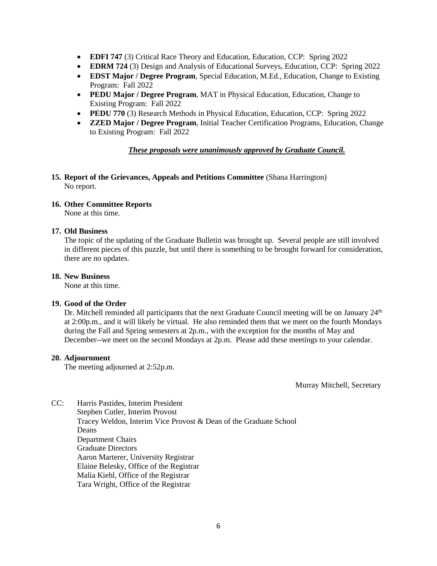- **EDFI 747** (3) Critical Race Theory and Education, Education, CCP: Spring 2022
- **EDRM 724** (3) Design and Analysis of Educational Surveys, Education, CCP: Spring 2022
- **EDST Major / Degree Program**, Special Education, M.Ed., Education, Change to Existing Program: Fall 2022
- **PEDU Major / Degree Program**, MAT in Physical Education, Education, Change to Existing Program: Fall 2022
- **PEDU 770** (3) Research Methods in Physical Education, Education, CCP: Spring 2022
- **ZZED Major / Degree Program**, Initial Teacher Certification Programs, Education, Change to Existing Program: Fall 2022

*These proposals were unanimously approved by Graduate Council.*

## **15. Report of the Grievances, Appeals and Petitions Committee** (Shana Harrington) No report.

## **16. Other Committee Reports**

None at this time.

## **17. Old Business**

The topic of the updating of the Graduate Bulletin was brought up. Several people are still involved in different pieces of this puzzle, but until there is something to be brought forward for consideration, there are no updates.

## **18. New Business**

None at this time.

## **19. Good of the Order**

Dr. Mitchell reminded all participants that the next Graduate Council meeting will be on January  $24<sup>th</sup>$ at 2:00p.m., and it will likely be virtual. He also reminded them that we meet on the fourth Mondays during the Fall and Spring semesters at 2p.m., with the exception for the months of May and December--we meet on the second Mondays at 2p.m. Please add these meetings to your calendar.

## **20. Adjournment**

The meeting adjourned at 2:52p.m.

Murray Mitchell, Secretary

CC: Harris Pastides, Interim President Stephen Cutler, Interim Provost Tracey Weldon, Interim Vice Provost & Dean of the Graduate School Deans Department Chairs Graduate Directors Aaron Marterer, University Registrar Elaine Belesky, Office of the Registrar Malia Kiehl, Office of the Registrar Tara Wright, Office of the Registrar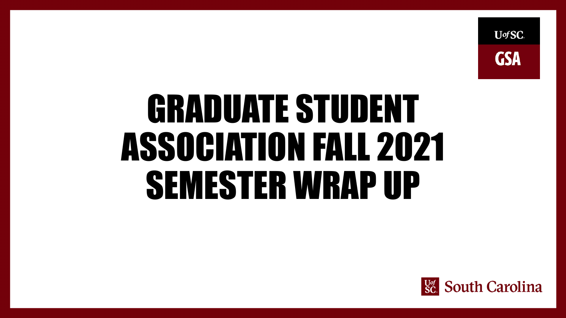

# GRADUATE STUDENT ASSOCIATION FALL 2021 SEMESTER WRAP UP

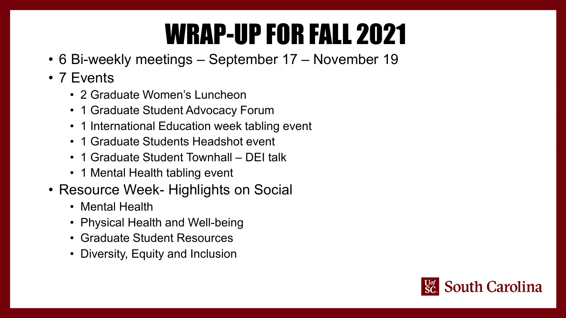# WRAP-UP FOR FALL 2021

- 6 Bi-weekly meetings September 17 November 19
- 7 Events
	- 2 Graduate Women's Luncheon
	- 1 Graduate Student Advocacy Forum
	- 1 International Education week tabling event
	- 1 Graduate Students Headshot event
	- 1 Graduate Student Townhall DEI talk
	- 1 Mental Health tabling event
- Resource Week- Highlights on Social
	- Mental Health
	- Physical Health and Well-being
	- Graduate Student Resources
	- Diversity, Equity and Inclusion

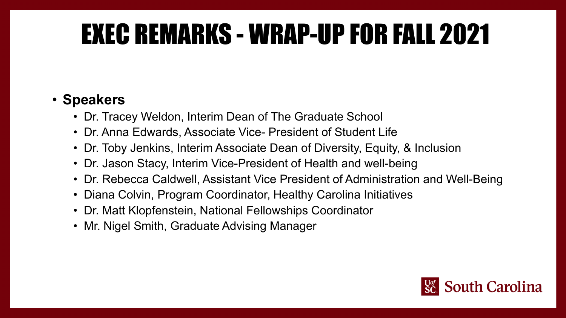# EXEC REMARKS - WRAP-UP FOR FALL 2021

# • **Speakers**

- Dr. Tracey Weldon, Interim Dean of The Graduate School
- Dr. Anna Edwards, Associate Vice- President of Student Life
- Dr. Toby Jenkins, Interim Associate Dean of Diversity, Equity, & Inclusion
- Dr. Jason Stacy, Interim Vice-President of Health and well-being
- Dr. Rebecca Caldwell, Assistant Vice President of Administration and Well-Being
- Diana Colvin, Program Coordinator, Healthy Carolina Initiatives
- Dr. Matt Klopfenstein, National Fellowships Coordinator
- Mr. Nigel Smith, Graduate Advising Manager

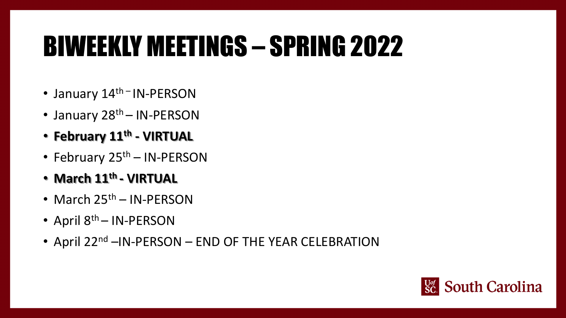# BIWEEKLY MEETINGS – SPRING 2022

- January 14<sup>th –</sup> IN-PERSON
- January 28<sup>th</sup> IN-PERSON
- **February 11th - VIRTUAL**
- February  $25<sup>th</sup> IN-PERSON$
- **March 11th - VIRTUAL**
- March  $25<sup>th</sup>$  IN-PERSON
- April 8<sup>th</sup> IN-PERSON
- April 22<sup>nd</sup> –IN-PERSON END OF THE YEAR CELEBRATION

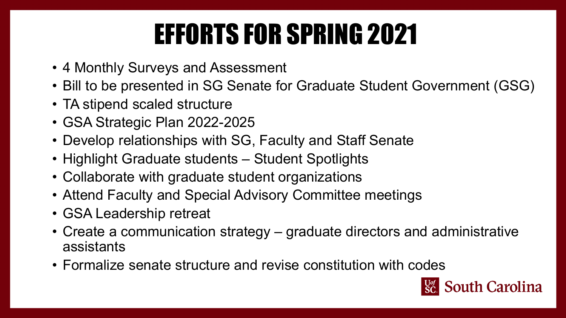# EFFORTS FOR SPRING 2021

- 4 Monthly Surveys and Assessment
- Bill to be presented in SG Senate for Graduate Student Government (GSG)
- TA stipend scaled structure
- GSA Strategic Plan 2022-2025
- Develop relationships with SG, Faculty and Staff Senate
- Highlight Graduate students Student Spotlights
- Collaborate with graduate student organizations
- Attend Faculty and Special Advisory Committee meetings
- GSA Leadership retreat
- Create a communication strategy graduate directors and administrative assistants
- Formalize senate structure and revise constitution with codes

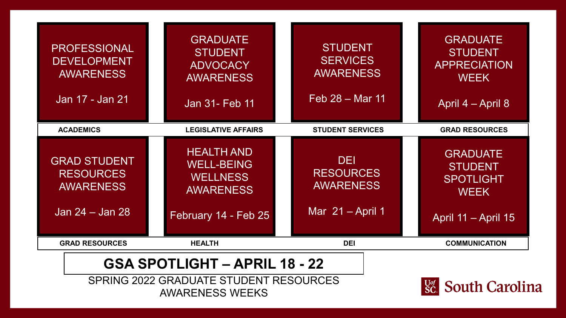| <b>PROFESSIONAL</b><br><b>DEVELOPMENT</b><br><b>AWARENESS</b><br>Jan 17 - Jan 21 | <b>GRADUATE</b><br><b>STUDENT</b><br><b>ADVOCACY</b><br><b>AWARENESS</b><br>Jan 31- Feb 11            |   | <b>STUDENT</b><br><b>SERVICES</b><br><b>AWARENESS</b><br>Feb 28 – Mar 11 | <b>GRADUATE</b><br><b>STUDENT</b><br><b>APPRECIATION</b><br><b>WEEK</b><br>April 4 – April 8 |
|----------------------------------------------------------------------------------|-------------------------------------------------------------------------------------------------------|---|--------------------------------------------------------------------------|----------------------------------------------------------------------------------------------|
| <b>ACADEMICS</b>                                                                 | <b>LEGISLATIVE AFFAIRS</b>                                                                            |   | <b>STUDENT SERVICES</b>                                                  | <b>GRAD RESOURCES</b>                                                                        |
| <b>GRAD STUDENT</b><br><b>RESOURCES</b><br><b>AWARENESS</b><br>Jan 24 – Jan 28   | <b>HEALTH AND</b><br><b>WELL-BEING</b><br><b>WELLNESS</b><br><b>AWARENESS</b><br>February 14 - Feb 25 |   | <b>DEI</b><br><b>RESOURCES</b><br><b>AWARENESS</b><br>Mar $21 -$ April 1 | <b>GRADUATE</b><br><b>STUDENT</b><br><b>SPOTLIGHT</b><br><b>WEEK</b><br>April 11 - April 15  |
| <b>GRAD RESOURCES</b>                                                            | <b>HEALTH</b>                                                                                         |   | <b>DEI</b>                                                               | <b>COMMUNICATION</b>                                                                         |
| ММ К                                                                             | .                                                                                                     | o | nл                                                                       |                                                                                              |

# **GSA SPOTLIGHT – APRIL 18 - 22**

SPRING 2022 GRADUATE STUDENT RESOURCES AWARENESS WEEKS

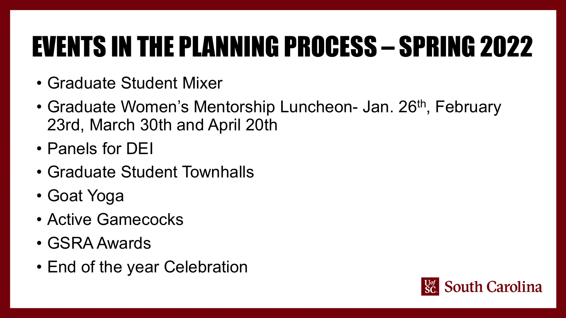# EVENTS IN THE PLANNING PROCESS – SPRING 2022

- Graduate Student Mixer
- Graduate Women's Mentorship Luncheon- Jan. 26<sup>th</sup>, February 23rd, March 30th and April 20th
- Panels for DEI
- Graduate Student Townhalls
- Goat Yoga
- Active Gamecocks
- GSRA Awards
- End of the year Celebration

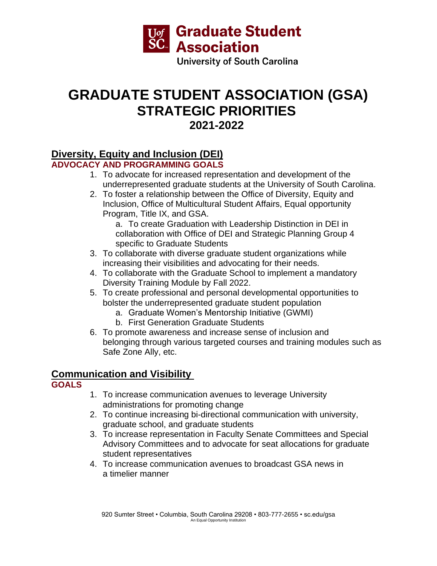

# **GRADUATE STUDENT ASSOCIATION (GSA) STRATEGIC PRIORITIES 2021-2022**

# **Diversity, Equity and Inclusion (DEI)**

## **ADVOCACY AND PROGRAMMING GOALS**

- 1. To advocate for increased representation and development of the underrepresented graduate students at the University of South Carolina.
- 2. To foster a relationship between the Office of Diversity, Equity and Inclusion, Office of Multicultural Student Affairs, Equal opportunity Program, Title IX, and GSA.

a. To create Graduation with Leadership Distinction in DEI in collaboration with Office of DEI and Strategic Planning Group 4 specific to Graduate Students

- 3. To collaborate with diverse graduate student organizations while increasing their visibilities and advocating for their needs.
- 4. To collaborate with the Graduate School to implement a mandatory Diversity Training Module by Fall 2022.
- 5. To create professional and personal developmental opportunities to bolster the underrepresented graduate student population
	- a. Graduate Women's Mentorship Initiative (GWMI)
	- b. First Generation Graduate Students
- 6. To promote awareness and increase sense of inclusion and belonging through various targeted courses and training modules such as Safe Zone Ally, etc.

# **Communication and Visibility**

## **GOALS**

- 1. To increase communication avenues to leverage University administrations for promoting change
- 2. To continue increasing bi-directional communication with university, graduate school, and graduate students
- 3. To increase representation in Faculty Senate Committees and Special Advisory Committees and to advocate for seat allocations for graduate student representatives
- 4. To increase communication avenues to broadcast GSA news in a timelier manner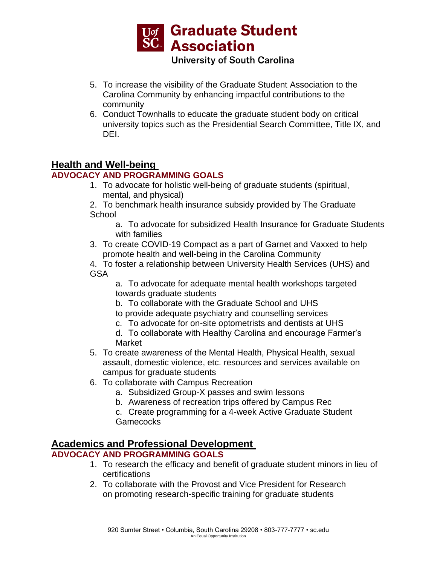

- 5. To increase the visibility of the Graduate Student Association to the Carolina Community by enhancing impactful contributions to the community
- 6. Conduct Townhalls to educate the graduate student body on critical university topics such as the Presidential Search Committee, Title IX, and DEI.

# **Health and Well-being**

## **ADVOCACY AND PROGRAMMING GOALS**

1. To advocate for holistic well-being of graduate students (spiritual, mental, and physical)

2. To benchmark health insurance subsidy provided by The Graduate **School** 

a. To advocate for subsidized Health Insurance for Graduate Students with families

3. To create COVID-19 Compact as a part of Garnet and Vaxxed to help promote health and well-being in the Carolina Community

4. To foster a relationship between University Health Services (UHS) and **GSA** 

a. To advocate for adequate mental health workshops targeted towards graduate students

b. To collaborate with the Graduate School and UHS to provide adequate psychiatry and counselling services

c. To advocate for on-site optometrists and dentists at UHS

d. To collaborate with Healthy Carolina and encourage Farmer's Market

- 5. To create awareness of the Mental Health, Physical Health, sexual assault, domestic violence, etc. resources and services available on campus for graduate students
- 6. To collaborate with Campus Recreation
	- a. Subsidized Group-X passes and swim lessons
	- b. Awareness of recreation trips offered by Campus Rec

c. Create programming for a 4-week Active Graduate Student **Gamecocks** 

## **Academics and Professional Development**

## **ADVOCACY AND PROGRAMMING GOALS**

- 1. To research the efficacy and benefit of graduate student minors in lieu of certifications
- 2. To collaborate with the Provost and Vice President for Research on promoting research-specific training for graduate students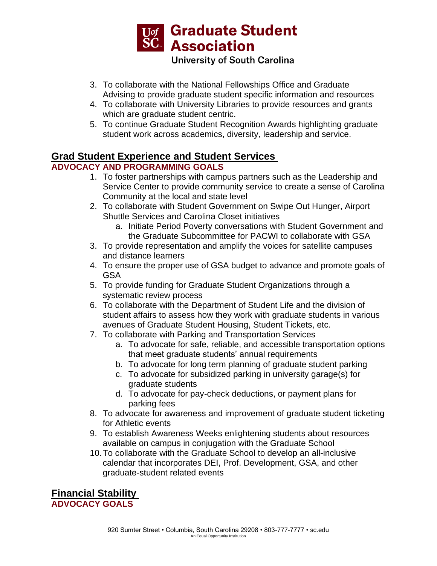

- 3. To collaborate with the National Fellowships Office and Graduate Advising to provide graduate student specific information and resources
- 4. To collaborate with University Libraries to provide resources and grants which are graduate student centric.
- 5. To continue Graduate Student Recognition Awards highlighting graduate student work across academics, diversity, leadership and service.

# **Grad Student Experience and Student Services**

## **ADVOCACY AND PROGRAMMING GOALS**

- 1. To foster partnerships with campus partners such as the Leadership and Service Center to provide community service to create a sense of Carolina Community at the local and state level
- 2. To collaborate with Student Government on Swipe Out Hunger, Airport Shuttle Services and Carolina Closet initiatives
	- a. Initiate Period Poverty conversations with Student Government and the Graduate Subcommittee for PACWI to collaborate with GSA
- 3. To provide representation and amplify the voices for satellite campuses and distance learners
- 4. To ensure the proper use of GSA budget to advance and promote goals of GSA
- 5. To provide funding for Graduate Student Organizations through a systematic review process
- 6. To collaborate with the Department of Student Life and the division of student affairs to assess how they work with graduate students in various avenues of Graduate Student Housing, Student Tickets, etc.
- 7. To collaborate with Parking and Transportation Services
	- a. To advocate for safe, reliable, and accessible transportation options that meet graduate students' annual requirements
	- b. To advocate for long term planning of graduate student parking
	- c. To advocate for subsidized parking in university garage(s) for graduate students
	- d. To advocate for pay-check deductions, or payment plans for parking fees
- 8. To advocate for awareness and improvement of graduate student ticketing for Athletic events
- 9. To establish Awareness Weeks enlightening students about resources available on campus in conjugation with the Graduate School
- 10.To collaborate with the Graduate School to develop an all-inclusive calendar that incorporates DEI, Prof. Development, GSA, and other graduate-student related events

**Financial Stability ADVOCACY GOALS**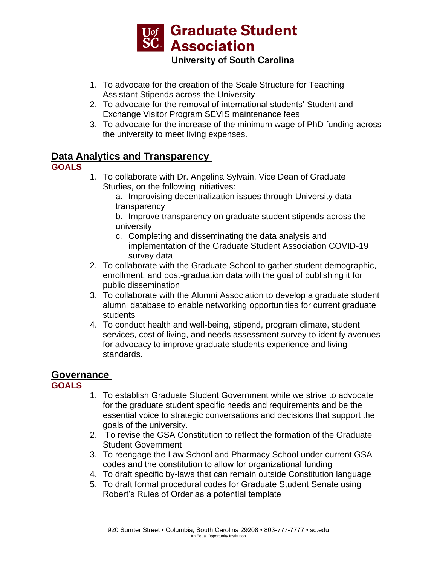

- 1. To advocate for the creation of the Scale Structure for Teaching Assistant Stipends across the University
- 2. To advocate for the removal of international students' Student and Exchange Visitor Program SEVIS maintenance fees
- 3. To advocate for the increase of the minimum wage of PhD funding across the university to meet living expenses.

# **Data Analytics and Transparency**

## **GOALS**

1. To collaborate with Dr. Angelina Sylvain, Vice Dean of Graduate Studies, on the following initiatives:

a. Improvising decentralization issues through University data transparency

b. Improve transparency on graduate student stipends across the university

- c. Completing and disseminating the data analysis and implementation of the Graduate Student Association COVID-19 survey data
- 2. To collaborate with the Graduate School to gather student demographic, enrollment, and post-graduation data with the goal of publishing it for public dissemination
- 3. To collaborate with the Alumni Association to develop a graduate student alumni database to enable networking opportunities for current graduate students
- 4. To conduct health and well-being, stipend, program climate, student services, cost of living, and needs assessment survey to identify avenues for advocacy to improve graduate students experience and living standards.

# **Governance**

**GOALS**

- 1. To establish Graduate Student Government while we strive to advocate for the graduate student specific needs and requirements and be the essential voice to strategic conversations and decisions that support the goals of the university.
- 2. To revise the GSA Constitution to reflect the formation of the Graduate Student Government
- 3. To reengage the Law School and Pharmacy School under current GSA codes and the constitution to allow for organizational funding
- 4. To draft specific by-laws that can remain outside Constitution language
- 5. To draft formal procedural codes for Graduate Student Senate using Robert's Rules of Order as a potential template